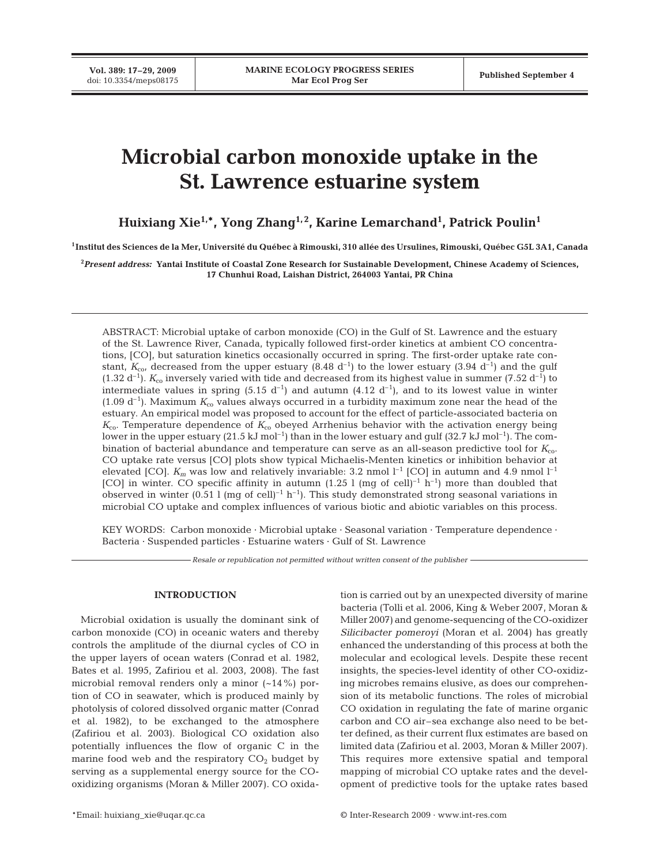**Vol. 389: 17–29, 2009**

# **Microbial carbon monoxide uptake in the St. Lawrence estuarine system**

**Huixiang Xie1,\*, Yong Zhang1, 2, Karine Lemarchand1 , Patrick Poulin1**

**1Institut des Sciences de la Mer, Université du Québec à Rimouski, 310 allée des Ursulines, Rimouski, Québec G5L 3A1, Canada**

**2** *Present address:* **Yantai Institute of Coastal Zone Research for Sustainable Development, Chinese Academy of Sciences, 17 Chunhui Road, Laishan District, 264003 Yantai, PR China**

ABSTRACT: Microbial uptake of carbon monoxide (CO) in the Gulf of St. Lawrence and the estuary of the St. Lawrence River, Canada, typically followed first-order kinetics at ambient CO concentrations, [CO], but saturation kinetics occasionally occurred in spring. The first-order uptake rate constant,  $K_{\text{co}}$  decreased from the upper estuary (8.48 d<sup>-1</sup>) to the lower estuary (3.94 d<sup>-1</sup>) and the gulf  $(1.32 d^{-1})$ .  $K_{\text{co}}$  inversely varied with tide and decreased from its highest value in summer (7.52 d<sup>-1</sup>) to intermediate values in spring (5.15 d<sup>-1</sup>) and autumn (4.12 d<sup>-1</sup>), and to its lowest value in winter  $(1.09 d<sup>-1</sup>)$ . Maximum  $K<sub>co</sub>$  values always occurred in a turbidity maximum zone near the head of the estuary. An empirical model was proposed to account for the effect of particle-associated bacteria on  $K_{\rm co}$ . Temperature dependence of  $K_{\rm co}$  obeyed Arrhenius behavior with the activation energy being lower in the upper estuary  $(21.5 \text{ kJ mol}^{-1})$  than in the lower estuary and gulf  $(32.7 \text{ kJ mol}^{-1})$ . The combination of bacterial abundance and temperature can serve as an all-season predictive tool for *K*co. CO uptake rate versus [CO] plots show typical Michaelis-Menten kinetics or inhibition behavior at elevated [CO].  $K_m$  was low and relatively invariable: 3.2 nmol  $l^{-1}$  [CO] in autumn and 4.9 nmol  $l^{-1}$ [CO] in winter. CO specific affinity in autumn  $(1.25 \text{ l (mg of cell)}^{-1} \text{ h}^{-1})$  more than doubled that observed in winter (0.51 l (mg of cell)<sup>-1</sup> h<sup>-1</sup>). This study demonstrated strong seasonal variations in microbial CO uptake and complex influences of various biotic and abiotic variables on this process.

KEY WORDS: Carbon monoxide · Microbial uptake · Seasonal variation · Temperature dependence · Bacteria · Suspended particles · Estuarine waters · Gulf of St. Lawrence

*Resale or republication not permitted without written consent of the publisher*

## **INTRODUCTION**

Microbial oxidation is usually the dominant sink of carbon monoxide (CO) in oceanic waters and thereby controls the amplitude of the diurnal cycles of CO in the upper layers of ocean waters (Conrad et al. 1982, Bates et al. 1995, Zafiriou et al. 2003, 2008). The fast microbial removal renders only a minor  $(-14\%)$  portion of CO in seawater, which is produced mainly by photolysis of colored dissolved organic matter (Conrad et al. 1982), to be exchanged to the atmosphere (Zafiriou et al. 2003). Biological CO oxidation also potentially influences the flow of organic C in the marine food web and the respiratory  $CO<sub>2</sub>$  budget by serving as a supplemental energy source for the COoxidizing organisms (Moran & Miller 2007). CO oxida-

tion is carried out by an unexpected diversity of marine bacteria (Tolli et al. 2006, King & Weber 2007, Moran & Miller 2007) and genome-sequencing of the CO-oxidizer *Silicibacter pomeroyi* (Moran et al. 2004) has greatly enhanced the understanding of this process at both the molecular and ecological levels. Despite these recent insights, the species-level identity of other CO-oxidizing microbes remains elusive, as does our comprehension of its metabolic functions. The roles of microbial CO oxidation in regulating the fate of marine organic carbon and CO air–sea exchange also need to be better defined, as their current flux estimates are based on limited data (Zafiriou et al. 2003, Moran & Miller 2007). This requires more extensive spatial and temporal mapping of microbial CO uptake rates and the development of predictive tools for the uptake rates based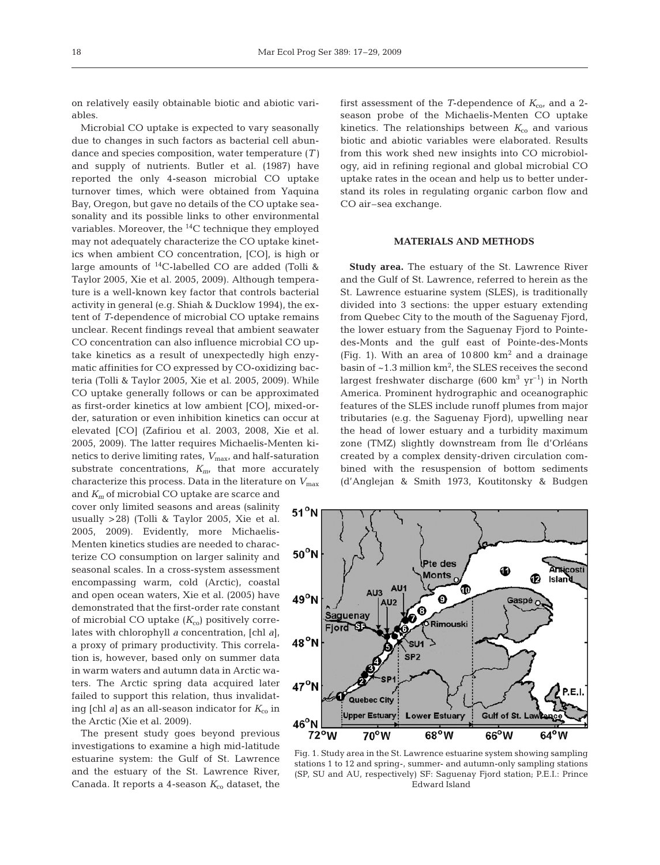on relatively easily obtainable biotic and abiotic variables.

Microbial CO uptake is expected to vary seasonally due to changes in such factors as bacterial cell abundance and species composition, water temperature (*T)* and supply of nutrients. Butler et al. (1987) have reported the only 4-season microbial CO uptake turnover times, which were obtained from Yaquina Bay, Oregon, but gave no details of the CO uptake seasonality and its possible links to other environmental variables. Moreover, the 14C technique they employed may not adequately characterize the CO uptake kinetics when ambient CO concentration, [CO], is high or large amounts of 14C-labelled CO are added (Tolli & Taylor 2005, Xie et al. 2005, 2009). Although temperature is a well-known key factor that controls bacterial activity in general (e.g. Shiah & Ducklow 1994), the extent of *T*-dependence of microbial CO uptake remains unclear. Recent findings reveal that ambient seawater CO concentration can also influence microbial CO uptake kinetics as a result of unexpectedly high enzymatic affinities for CO expressed by CO-oxidizing bacteria (Tolli & Taylor 2005, Xie et al. 2005, 2009). While CO uptake generally follows or can be approximated as first-order kinetics at low ambient [CO], mixed-order, saturation or even inhibition kinetics can occur at elevated [CO] (Zafiriou et al. 2003, 2008, Xie et al. 2005, 2009). The latter requires Michaelis-Menten kinetics to derive limiting rates,  $V_{\text{max}}$ , and half-saturation substrate concentrations,  $K_{m}$ , that more accurately characterize this process. Data in the literature on  $V_{\text{max}}$ and *Km* of microbial CO uptake are scarce and

cover only limited seasons and areas (salinity usually >28) (Tolli & Taylor 2005, Xie et al. 2005, 2009). Evidently, more Michaelis-Menten kinetics studies are needed to characterize CO consumption on larger salinity and seasonal scales. In a cross-system assessment encompassing warm, cold (Arctic), coastal and open ocean waters, Xie et al. (2005) have demonstrated that the first-order rate constant of microbial CO uptake  $(K_{\rm co})$  positively correlates with chlorophyll *a* concentration, [chl *a*], a proxy of primary productivity. This correlation is, however, based only on summer data in warm waters and autumn data in Arctic waters. The Arctic spring data acquired later failed to support this relation, thus invalidating [chl  $a$ ] as an all-season indicator for  $K_{\rm co}$  in the Arctic (Xie et al. 2009).

The present study goes beyond previous investigations to examine a high mid-latitude estuarine system: the Gulf of St. Lawrence and the estuary of the St. Lawrence River, Canada. It reports a 4-season  $K_{c0}$  dataset, the first assessment of the *T*-dependence of  $K_{\text{co}}$ , and a 2season probe of the Michaelis-Menten CO uptake kinetics. The relationships between  $K_{\rm co}$  and various biotic and abiotic variables were elaborated. Results from this work shed new insights into CO microbiology, aid in refining regional and global microbial CO uptake rates in the ocean and help us to better understand its roles in regulating organic carbon flow and CO air–sea exchange.

## **MATERIALS AND METHODS**

**Study area.** The estuary of the St. Lawrence River and the Gulf of St. Lawrence, referred to herein as the St. Lawrence estuarine system (SLES), is traditionally divided into 3 sections: the upper estuary extending from Quebec City to the mouth of the Saguenay Fjord, the lower estuary from the Saguenay Fjord to Pointedes-Monts and the gulf east of Pointe-des-Monts (Fig. 1). With an area of 10 800 km2 and a drainage basin of  $\sim$ 1.3 million km<sup>2</sup>, the SLES receives the second largest freshwater discharge (600 km<sup>3</sup> yr<sup>-1</sup>) in North America. Prominent hydrographic and oceanographic features of the SLES include runoff plumes from major tributaries (e.g. the Saguenay Fjord), upwelling near the head of lower estuary and a turbidity maximum zone (TMZ) slightly downstream from Île d'Orléans created by a complex density-driven circulation combined with the resuspension of bottom sediments (d'Anglejan & Smith 1973, Koutitonsky & Budgen



Fig. 1. Study area in the St. Lawrence estuarine system showing sampling stations 1 to 12 and spring-, summer- and autumn-only sampling stations (SP, SU and AU, respectively) SF: Saguenay Fjord station; P.E.I.: Prince Edward Island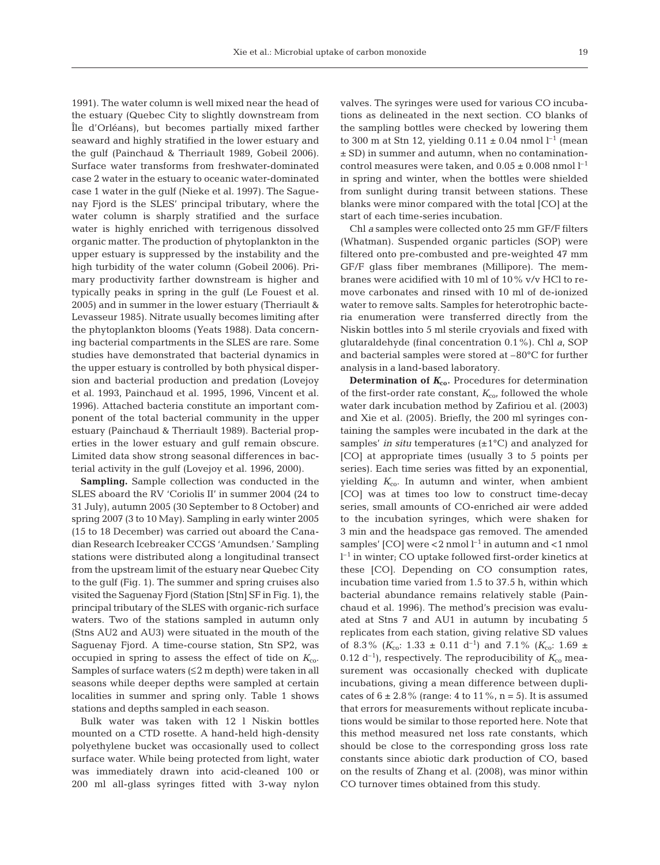1991). The water column is well mixed near the head of the estuary (Quebec City to slightly downstream from Île d'Orléans), but becomes partially mixed farther seaward and highly stratified in the lower estuary and the gulf (Painchaud & Therriault 1989, Gobeil 2006). Surface water transforms from freshwater-dominated case 2 water in the estuary to oceanic water-dominated case 1 water in the gulf (Nieke et al. 1997). The Saguenay Fjord is the SLES' principal tributary, where the water column is sharply stratified and the surface water is highly enriched with terrigenous dissolved organic matter. The production of phytoplankton in the upper estuary is suppressed by the instability and the high turbidity of the water column (Gobeil 2006). Primary productivity farther downstream is higher and typically peaks in spring in the gulf (Le Fouest et al. 2005) and in summer in the lower estuary (Therriault & Levasseur 1985). Nitrate usually becomes limiting after the phytoplankton blooms (Yeats 1988). Data concerning bacterial compartments in the SLES are rare. Some studies have demonstrated that bacterial dynamics in the upper estuary is controlled by both physical dispersion and bacterial production and predation (Lovejoy et al. 1993, Painchaud et al. 1995, 1996, Vincent et al. 1996). Attached bacteria constitute an important component of the total bacterial community in the upper estuary (Painchaud & Therriault 1989). Bacterial properties in the lower estuary and gulf remain obscure. Limited data show strong seasonal differences in bacterial activity in the gulf (Lovejoy et al. 1996, 2000).

**Sampling.** Sample collection was conducted in the SLES aboard the RV 'Coriolis II' in summer 2004 (24 to 31 July), autumn 2005 (30 September to 8 October) and spring 2007 (3 to 10 May). Sampling in early winter 2005 (15 to 18 December) was carried out aboard the Canadian Research Icebreaker CCGS 'Amundsen.' Sampling stations were distributed along a longitudinal transect from the upstream limit of the estuary near Quebec City to the gulf (Fig. 1). The summer and spring cruises also visited the Saguenay Fjord (Station [Stn] SF in Fig. 1), the principal tributary of the SLES with organic-rich surface waters. Two of the stations sampled in autumn only (Stns AU2 and AU3) were situated in the mouth of the Saguenay Fjord. A time-course station, Stn SP2, was occupied in spring to assess the effect of tide on  $K_{\text{co}}$ . Samples of surface waters  $(\leq 2 \text{ m depth})$  were taken in all seasons while deeper depths were sampled at certain localities in summer and spring only. Table 1 shows stations and depths sampled in each season.

Bulk water was taken with 12 l Niskin bottles mounted on a CTD rosette. A hand-held high-density polyethylene bucket was occasionally used to collect surface water. While being protected from light, water was immediately drawn into acid-cleaned 100 or 200 ml all-glass syringes fitted with 3-way nylon valves. The syringes were used for various CO incubations as delineated in the next section. CO blanks of the sampling bottles were checked by lowering them to 300 m at Stn 12, yielding  $0.11 \pm 0.04$  nmol  $l^{-1}$  (mean ± SD) in summer and autumn, when no contaminationcontrol measures were taken, and  $0.05 \pm 0.008$  nmol  $l^{-1}$ in spring and winter, when the bottles were shielded from sunlight during transit between stations. These blanks were minor compared with the total [CO] at the start of each time-series incubation.

Chl *a* samples were collected onto 25 mm GF/F filters (Whatman). Suspended organic particles (SOP) were filtered onto pre-combusted and pre-weighted 47 mm GF/F glass fiber membranes (Millipore). The membranes were acidified with 10 ml of 10% v/v HCl to remove carbonates and rinsed with 10 ml of de-ionized water to remove salts. Samples for heterotrophic bacteria enumeration were transferred directly from the Niskin bottles into 5 ml sterile cryovials and fixed with glutaraldehyde (final concentration 0.1%). Chl *a*, SOP and bacterial samples were stored at –80°C for further analysis in a land-based laboratory.

**Determination of**  $K_{co}$ **. Procedures for determination** of the first-order rate constant,  $K_{\rm co}$ , followed the whole water dark incubation method by Zafiriou et al. (2003) and Xie et al. (2005). Briefly, the 200 ml syringes containing the samples were incubated in the dark at the samples' *in situ* temperatures  $(\pm 1^{\circ}C)$  and analyzed for [CO] at appropriate times (usually 3 to 5 points per series). Each time series was fitted by an exponential, yielding  $K_{\text{co}}$ . In autumn and winter, when ambient [CO] was at times too low to construct time-decay series, small amounts of CO-enriched air were added to the incubation syringes, which were shaken for 3 min and the headspace gas removed. The amended samples'  $[CO]$  were <2 nmol  $l^{-1}$  in autumn and <1 nmol  $l^{-1}$  in winter; CO uptake followed first-order kinetics at these [CO]. Depending on CO consumption rates, incubation time varied from 1.5 to 37.5 h, within which bacterial abundance remains relatively stable (Painchaud et al. 1996). The method's precision was evaluated at Stns 7 and AU1 in autumn by incubating 5 replicates from each station, giving relative SD values of 8.3% ( $K_{\text{co}}$ : 1.33  $\pm$  0.11 d<sup>-1</sup>) and 7.1% ( $K_{\text{co}}$ : 1.69  $\pm$ 0.12 d<sup>-1</sup>), respectively. The reproducibility of  $K_{\rm co}$  measurement was occasionally checked with duplicate incubations, giving a mean difference between duplicates of  $6 \pm 2.8\%$  (range: 4 to 11%, n = 5). It is assumed that errors for measurements without replicate incubations would be similar to those reported here. Note that this method measured net loss rate constants, which should be close to the corresponding gross loss rate constants since abiotic dark production of CO, based on the results of Zhang et al. (2008), was minor within CO turnover times obtained from this study.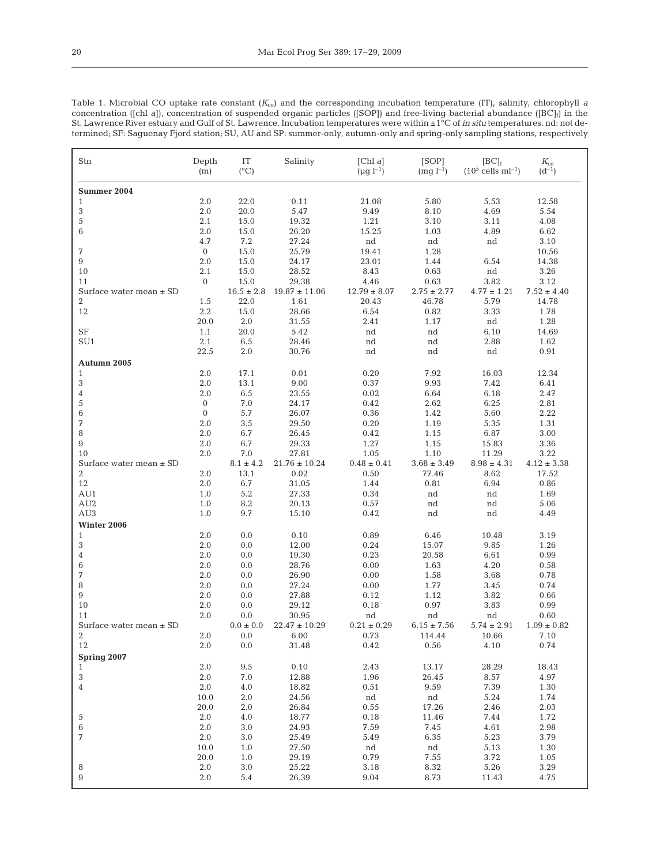| ٠ |        |        |  |
|---|--------|--------|--|
| c | $\sim$ | I<br>I |  |

| Stn                         | Depth<br>(m) | IT<br>$(^{\circ}C)$ | Salinity                        | [Chl $a$ ]<br>$(\mu g l^{-1})$ | [SOP]<br>$(mq l^{-1})$ | $[BC]_f$<br>$(10^5$ cells ml <sup>-1</sup> ) | $K_{\rm co}$<br>$(d^{-1})$ |
|-----------------------------|--------------|---------------------|---------------------------------|--------------------------------|------------------------|----------------------------------------------|----------------------------|
| <b>Summer 2004</b>          |              |                     |                                 |                                |                        |                                              |                            |
| $\mathbf{1}$                | 2.0          | 22.0                | 0.11                            | 21.08                          | 5.80                   | 5.53                                         | 12.58                      |
| 3                           | 2.0          | 20.0                | 5.47                            | 9.49                           | 8.10                   | 4.69                                         | 5.54                       |
| 5                           | 2.1          | 15.0                | 19.32                           | 1.21                           | 3.10                   | 3.11                                         | 4.08                       |
| 6                           | 2.0          | 15.0                | 26.20                           | 15.25                          | 1.03                   | 4.89                                         | 6.62                       |
|                             | 4.7          | 7.2                 | 27.24                           | nd                             | nd                     | nd                                           | 3.10                       |
| 7                           | $\mathbf{0}$ | 15.0                | 25.79                           | 19.41                          | 1.28                   |                                              | 10.56                      |
| 9                           | 2.0          | 15.0                | 24.17                           | 23.01                          | 1.44                   | 6.54                                         | 14.38                      |
| 10                          | 2.1          | 15.0                | 28.52                           | 8.43                           | 0.63                   | nd                                           | 3.26                       |
| 11                          | $\mathbf{0}$ | 15.0                | 29.38                           | 4.46                           | 0.63                   | 3.82                                         | 3.12                       |
| Surface water mean $\pm$ SD |              | $16.5\pm2.8$        | $19.87 \pm 11.06$               | $12.79 \pm 8.07$               | $2.75 \pm 2.77$        | $4.77 \pm 1.21$                              | $7.52 \pm 4.40$            |
| 2                           | 1.5          | 22.0                | 1.61                            | 20.43                          | 46.78                  | 5.79                                         | 14.78                      |
| 12                          | 2.2          | 15.0                | 28.66                           | 6.54                           | 0.82                   | 3.33                                         | 1.78                       |
|                             | 20.0         | 2.0                 | 31.55                           | 2.41                           | 1.17                   | nd                                           | 1.28                       |
| SF                          | 1.1          | 20.0                | 5.42                            | nd                             | $^{\rm nd}$            | 6.10                                         | 14.69                      |
| SU1                         | 2.1          | 6.5                 | 28.46                           | nd                             | nd                     | 2.88                                         | 1.62                       |
|                             | 22.5         | 2.0                 | 30.76                           | nd                             | nd                     | nd                                           | 0.91                       |
| Autumn 2005                 |              |                     |                                 |                                |                        |                                              |                            |
| $\mathbf{1}$                | 2.0          | 17.1                | 0.01                            | 0.20                           | 7.92                   | 16.03                                        | 12.34                      |
|                             | 2.0          | 13.1                | 9.00                            | 0.37                           | 9.93                   | 7.42                                         |                            |
| 3                           | 2.0          | 6.5                 | 23.55                           | 0.02                           | 6.64                   | 6.18                                         | 6.41<br>2.47               |
| 4                           |              |                     |                                 |                                |                        |                                              |                            |
| 5                           | $\mathbf{0}$ | 7.0                 | 24.17                           | 0.42                           | 2.62                   | 6.25                                         | 2.81                       |
| 6                           | $\mathbf 0$  | 5.7                 | 26.07                           | 0.36                           | 1.42                   | 5.60                                         | 2.22                       |
| 7                           | 2.0          | 3.5                 | 29.50                           | 0.20                           | 1.19                   | 5.35                                         | 1.31                       |
| 8                           | 2.0          | 6.7                 | 26.45                           | 0.42                           | 1.15                   | 6.87                                         | 3.00                       |
| 9                           | 2.0          | 6.7                 | 29.33                           | 1.27                           | 1.15                   | 15.83                                        | 3.36                       |
| 10                          | 2.0          | 7.0                 | 27.81                           | 1.05                           | 1.10                   | 11.29                                        | 3.22                       |
| Surface water mean $\pm$ SD |              | $8.1 \pm 4.2$       | $21.76 \pm 10.24$               | $0.48 \pm 0.41$                | $3.68 \pm 3.49$        | $8.98 \pm 4.31$                              | $4.12 \pm 3.38$            |
| $\overline{2}$              | 2.0          | 13.1                | 0.02                            | 0.50                           | 77.46                  | 8.62                                         | 17.52                      |
| 12                          | 2.0          | 6.7                 | 31.05                           | 1.44                           | 0.81                   | 6.94                                         | 0.86                       |
| AU1                         | 1.0          | 5.2                 | 27.33                           | 0.34                           | nd                     | nd                                           | 1.69                       |
| AU2                         | 1.0          | 8.2                 | 20.13                           | 0.57                           | nd                     | nd                                           | 5.06                       |
| AU3                         | $1.0\,$      | 9.7                 | 15.10                           | 0.42                           | nd                     | nd                                           | 4.49                       |
| Winter 2006                 |              |                     |                                 |                                |                        |                                              |                            |
| $\mathbf{1}$                | 2.0          | 0.0                 | 0.10                            | 0.89                           | 6.46                   | 10.48                                        | 3.19                       |
| 3                           | 2.0          | 0.0                 | 12.00                           | 0.24                           | 15.07                  | 9.85                                         | 1.26                       |
| 4                           | 2.0          | 0.0                 | 19.30                           | 0.23                           | 20.58                  | 6.61                                         | 0.99                       |
| 6                           | $2.0\,$      | 0.0                 | 28.76                           | 0.00                           | 1.63                   | 4.20                                         | 0.58                       |
| 7                           | 2.0          | 0.0                 | 26.90                           | 0.00                           | 1.58                   | 3.68                                         | 0.78                       |
| 8                           | 2.0          | 0.0                 | 27.24                           | 0.00                           | 1.77                   | 3.45                                         | 0.74                       |
| 9                           | 2.0          | 0.0                 | 27.88                           | 0.12                           | 1.12                   | 3.82                                         | 0.66                       |
| 10                          | 2.0          | 0.0                 | 29.12                           | 0.18                           | 0.97                   | 3.83                                         | 0.99                       |
| 11                          | $2.0\,$      | $0.0\,$             | 30.95                           | nd                             | nd                     | nd                                           | 0.60                       |
| Surface water mean $\pm$ SD |              |                     | $0.0 \pm 0.0$ $22.47 \pm 10.29$ | $0.21 \pm 0.29$                | $6.15 \pm 7.56$        | $5.74 \pm 2.91$                              | $1.09 \pm 0.82$            |
| $\overline{2}$              | 2.0          | 0.0                 | 6.00                            | 0.73                           | 114.44                 | 10.66                                        | 7.10                       |
| 12                          | 2.0          | 0.0                 | 31.48                           | 0.42                           | 0.56                   | 4.10                                         | 0.74                       |
| <b>Spring 2007</b>          |              |                     |                                 |                                |                        |                                              |                            |
| $\mathbf{1}$                | 2.0          | 9.5                 | 0.10                            | 2.43                           | 13.17                  | 28.29                                        | 18.43                      |
| 3                           | 2.0          | 7.0                 | 12.88                           | 1.96                           | 26.45                  | 8.57                                         | 4.97                       |
| 4                           | 2.0          | 4.0                 | 18.82                           | 0.51                           | 9.59                   | 7.39                                         | 1.30                       |
|                             | 10.0         | 2.0                 | 24.56                           | nd                             | nd                     | 5.24                                         | 1.74                       |
|                             |              |                     |                                 |                                |                        |                                              |                            |
|                             | 20.0         | 2.0                 | 26.84                           | 0.55                           | 17.26                  | 2.46                                         | 2.03                       |
|                             | 2.0          | 4.0                 | 18.77                           | 0.18                           | 11.46                  | 7.44                                         | 1.72                       |
|                             |              | 3.0                 | 24.93                           | 7.59                           | 7.45                   | 4.61                                         | 2.98                       |
|                             | 2.0          |                     |                                 |                                |                        |                                              |                            |
|                             | 2.0          | 3.0                 | 25.49                           | 5.49                           | 6.35                   | 5.23                                         | 3.79                       |
| 5<br>$6\phantom{1}6$<br>7   | 10.0         | 1.0                 | 27.50                           | nd                             | nd                     | 5.13                                         | 1.30                       |
| 8                           | 20.0<br>2.0  | 1.0<br>3.0          | 29.19<br>25.22                  | 0.79<br>3.18                   | 7.55<br>8.32           | 3.72<br>5.26                                 | 1.05<br>3.29               |

┚

Table 1. Microbial CO uptake rate constant (*K*co) and the corresponding incubation temperature (IT), salinity, chlorophyll *a* concentration ([chl *a*]), concentration of suspended organic particles ([SOP]) and free-living bacterial abundance ([BC]<sub>f</sub>) in the St. Lawrence River estuary and Gulf of St. Lawrence. Incubation temperatures were within ±1°C of *in situ* temperatures. nd: not de-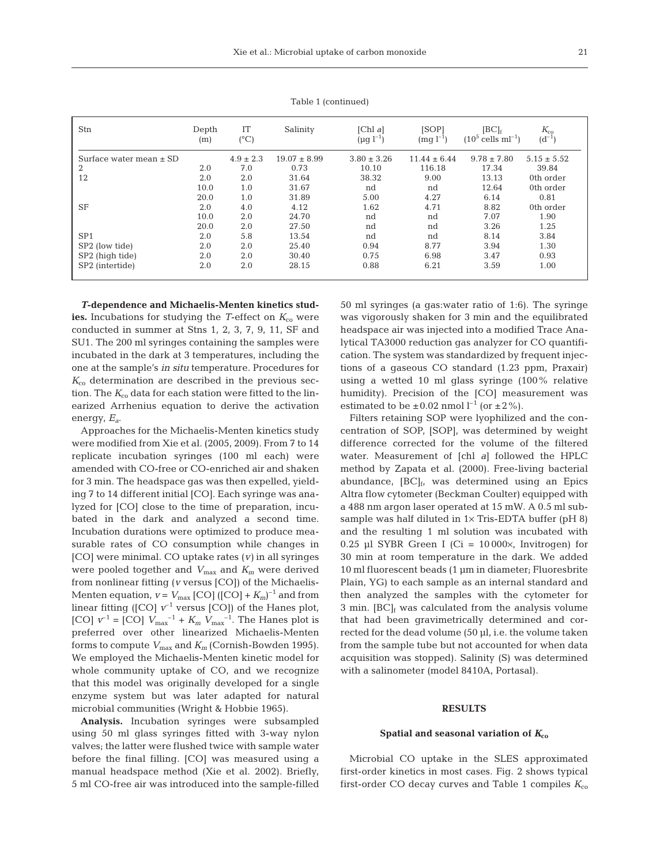| Stn                         | Depth<br>(m) | IT<br>$(^{\circ}C)$ | Salinity         | Chl a<br>$(\mu g \; l^{-1})$ | [SOP]<br>$(mq l^{-1})$ | $[BC]_f$<br>$(10^5$ cells ml <sup>-1</sup> ) | $K_{\rm co}$<br>$(d^{-1})$ |
|-----------------------------|--------------|---------------------|------------------|------------------------------|------------------------|----------------------------------------------|----------------------------|
| Surface water mean $\pm$ SD |              | $4.9 \pm 2.3$       | $19.07 \pm 8.99$ | $3.80 \pm 3.26$              | $11.44 \pm 6.44$       | $9.78 \pm 7.80$                              | $5.15 \pm 5.52$            |
| 2                           | 2.0          | 7.0                 | 0.73             | 10.10                        | 116.18                 | 17.34                                        | 39.84                      |
| 12                          | 2.0          | 2.0                 | 31.64            | 38.32                        | 9.00                   | 13.13                                        | 0th order                  |
|                             | 10.0         | 1.0                 | 31.67            | nd                           | nd                     | 12.64                                        | 0th order                  |
|                             | 20.0         | 1.0                 | 31.89            | 5.00                         | 4.27                   | 6.14                                         | 0.81                       |
| <b>SF</b>                   | 2.0          | 4.0                 | 4.12             | 1.62                         | 4.71                   | 8.82                                         | 0th order                  |
|                             | 10.0         | 2.0                 | 24.70            | nd                           | nd                     | 7.07                                         | 1.90                       |
|                             | 20.0         | 2.0                 | 27.50            | nd                           | nd                     | 3.26                                         | 1.25                       |
| SP <sub>1</sub>             | 2.0          | 5.8                 | 13.54            | nd                           | nd                     | 8.14                                         | 3.84                       |
| SP2 (low tide)              | 2.0          | 2.0                 | 25.40            | 0.94                         | 8.77                   | 3.94                                         | 1.30                       |
| SP2 (high tide)             | 2.0          | 2.0                 | 30.40            | 0.75                         | 6.98                   | 3.47                                         | 0.93                       |
| SP2 (intertide)             | 2.0          | 2.0                 | 28.15            | 0.88                         | 6.21                   | 3.59                                         | 1.00                       |

Table 1 (continued)

*T***-dependence and Michaelis-Menten kinetics stud**ies. Incubations for studying the *T*-effect on  $K_{\rm co}$  were conducted in summer at Stns 1, 2, 3, 7, 9, 11, SF and SU1. The 200 ml syringes containing the samples were incubated in the dark at 3 temperatures, including the one at the sample's *in situ* temperature. Procedures for  $K_{\rm co}$  determination are described in the previous section. The  $K_{\rm co}$  data for each station were fitted to the linearized Arrhenius equation to derive the activation energy, *Ea*.

Approaches for the Michaelis-Menten kinetics study were modified from Xie et al. (2005, 2009). From 7 to 14 replicate incubation syringes (100 ml each) were amended with CO-free or CO-enriched air and shaken for 3 min. The headspace gas was then expelled, yielding 7 to 14 different initial [CO]. Each syringe was analyzed for [CO] close to the time of preparation, incubated in the dark and analyzed a second time. Incubation durations were optimized to produce measurable rates of CO consumption while changes in [CO] were minimal. CO uptake rates (*v)* in all syringes were pooled together and  $V_{\text{max}}$  and  $K_m$  were derived from nonlinear fitting (*v* versus [CO]) of the Michaelis-Menten equation,  $v = V_{\text{max}}$  [CO] ([CO] +  $K_m$ )<sup>-1</sup> and from linear fitting ( $[CO]$   $v^{-1}$  versus  $[CO]$ ) of the Hanes plot, [CO]  $v^{-1} =$  [CO]  $V_{\text{max}}^{-1} + K_m V_{\text{max}}^{-1}$ . The Hanes plot is preferred over other linearized Michaelis-Menten forms to compute  $V_{\text{max}}$  and  $K_m$  (Cornish-Bowden 1995). We employed the Michaelis-Menten kinetic model for whole community uptake of CO, and we recognize that this model was originally developed for a single enzyme system but was later adapted for natural microbial communities (Wright & Hobbie 1965).

**Analysis.** Incubation syringes were subsampled using 50 ml glass syringes fitted with 3-way nylon valves; the latter were flushed twice with sample water before the final filling. [CO] was measured using a manual headspace method (Xie et al. 2002). Briefly, 5 ml CO-free air was introduced into the sample-filled 50 ml syringes (a gas:water ratio of 1:6). The syringe was vigorously shaken for 3 min and the equilibrated headspace air was injected into a modified Trace Analytical TA3000 reduction gas analyzer for CO quantification. The system was standardized by frequent injections of a gaseous CO standard (1.23 ppm, Praxair) using a wetted 10 ml glass syringe (100% relative humidity). Precision of the [CO] measurement was estimated to be  $\pm 0.02$  nmol  $l^{-1}$  (or  $\pm 2\%$ ).

Filters retaining SOP were lyophilized and the concentration of SOP, [SOP], was determined by weight difference corrected for the volume of the filtered water. Measurement of [chl *a*] followed the HPLC method by Zapata et al. (2000). Free-living bacterial abundance,  $[BC]_f$ , was determined using an Epics Altra flow cytometer (Beckman Coulter) equipped with a 488 nm argon laser operated at 15 mW. A 0.5 ml subsample was half diluted in  $1 \times$  Tris-EDTA buffer (pH 8) and the resulting 1 ml solution was incubated with 0.25 µl SYBR Green I (Ci =  $10000 \times$ , Invitrogen) for 30 min at room temperature in the dark. We added 10 ml fluorescent beads (1 µm in diameter; Fluoresbrite Plain, YG) to each sample as an internal standard and then analyzed the samples with the cytometer for 3 min.  $[BC]_f$  was calculated from the analysis volume that had been gravimetrically determined and corrected for the dead volume (50 µl, i.e. the volume taken from the sample tube but not accounted for when data acquisition was stopped). Salinity (S) was determined with a salinometer (model 8410A, Portasal).

#### **RESULTS**

## **Spatial and seasonal variation of** *K***co**

Microbial CO uptake in the SLES approximated first-order kinetics in most cases. Fig. 2 shows typical first-order CO decay curves and Table 1 compiles  $K_{\rm co}$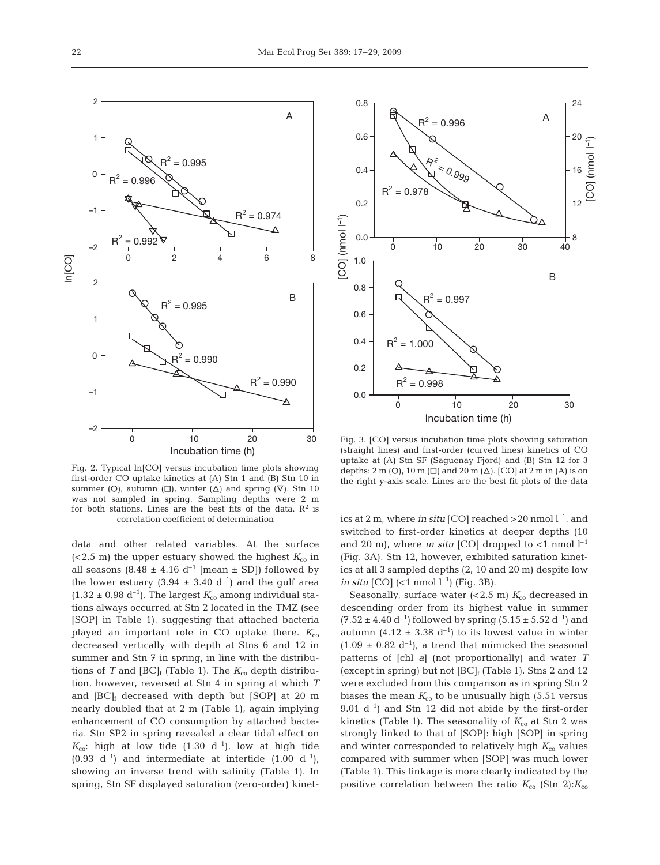

Fig. 2. Typical ln[CO] versus incubation time plots showing first-order CO uptake kinetics at (A) Stn 1 and (B) Stn 10 in summer (O), autumn ( $\square$ ), winter ( $\triangle$ ) and spring ( $\nabla$ ). Stn 10 was not sampled in spring. Sampling depths were 2 m for both stations. Lines are the best fits of the data.  $\mathbb{R}^2$  is correlation coefficient of determination

data and other related variables. At the surface (<2.5 m) the upper estuary showed the highest  $K_{\rm co}$  in all seasons  $(8.48 \pm 4.16 \text{ d}^{-1} \text{ [mean } \pm \text{ SD}])$  followed by the lower estuary (3.94  $\pm$  3.40 d<sup>-1</sup>) and the gulf area  $(1.32 \pm 0.98 \text{ d}^{-1})$ . The largest  $K_{\text{co}}$  among individual stations always occurred at Stn 2 located in the TMZ (see [SOP] in Table 1), suggesting that attached bacteria played an important role in CO uptake there.  $K_{\rm co}$ decreased vertically with depth at Stns 6 and 12 in summer and Stn 7 in spring, in line with the distributions of *T* and  $[BC]_f$  (Table 1). The  $K_{co}$  depth distribution, however, reversed at Stn 4 in spring at which *T* and  $[BC]_f$  decreased with depth but  $[SOP]$  at 20 m nearly doubled that at 2 m (Table 1), again implying enhancement of CO consumption by attached bacteria. Stn SP2 in spring revealed a clear tidal effect on  $K_{\rm co}$ : high at low tide (1.30 d<sup>-1</sup>), low at high tide  $(0.93 \text{ d}^{-1})$  and intermediate at intertide  $(1.00 \text{ d}^{-1})$ , showing an inverse trend with salinity (Table 1). In spring, Stn SF displayed saturation (zero-order) kinet-



Fig. 3. [CO] versus incubation time plots showing saturation (straight lines) and first-order (curved lines) kinetics of CO uptake at (A) Stn SF (Saguenay Fjord) and (B) Stn 12 for 3 depths:  $2 \text{ m } (O)$ ,  $10 \text{ m } (\square)$  and  $20 \text{ m } (\triangle)$ . [CO] at  $2 \text{ m }$  in (A) is on the right *y*-axis scale. Lines are the best fit plots of the data

ics at 2 m, where *in situ* [CO] reached  $>$  20 nmol  $l^{-1}$ , and switched to first-order kinetics at deeper depths (10 and 20 m), where *in situ* [CO] dropped to  $\lt 1$  nmol  $l^{-1}$ (Fig. 3A). Stn 12, however, exhibited saturation kinetics at all 3 sampled depths (2, 10 and 20 m) despite low *in situ* [CO]  $(<1$  nmol  $l^{-1}$ ) (Fig. 3B).

Seasonally, surface water  $( $2.5 \text{ m}$ ) K<sub>co</sub> decreased in$ descending order from its highest value in summer  $(7.52 \pm 4.40 \text{ d}^{-1})$  followed by spring  $(5.15 \pm 5.52 \text{ d}^{-1})$  and autumn (4.12  $\pm$  3.38 d<sup>-1</sup>) to its lowest value in winter  $(1.09 \pm 0.82 \text{ d}^{-1})$ , a trend that mimicked the seasonal patterns of [chl *a*] (not proportionally) and water *T* (except in spring) but not  $[BC]_f$  (Table 1). Stns 2 and 12 were excluded from this comparison as in spring Stn 2 biases the mean  $K_{\text{co}}$  to be unusually high (5.51 versus  $9.01$  d<sup>-1</sup>) and Stn 12 did not abide by the first-order kinetics (Table 1). The seasonality of  $K_{\rm co}$  at Stn 2 was strongly linked to that of [SOP]: high [SOP] in spring and winter corresponded to relatively high  $K_{\text{co}}$  values compared with summer when [SOP] was much lower (Table 1). This linkage is more clearly indicated by the positive correlation between the ratio  $K_{\rm co}$  (Stn 2): $K_{\rm co}$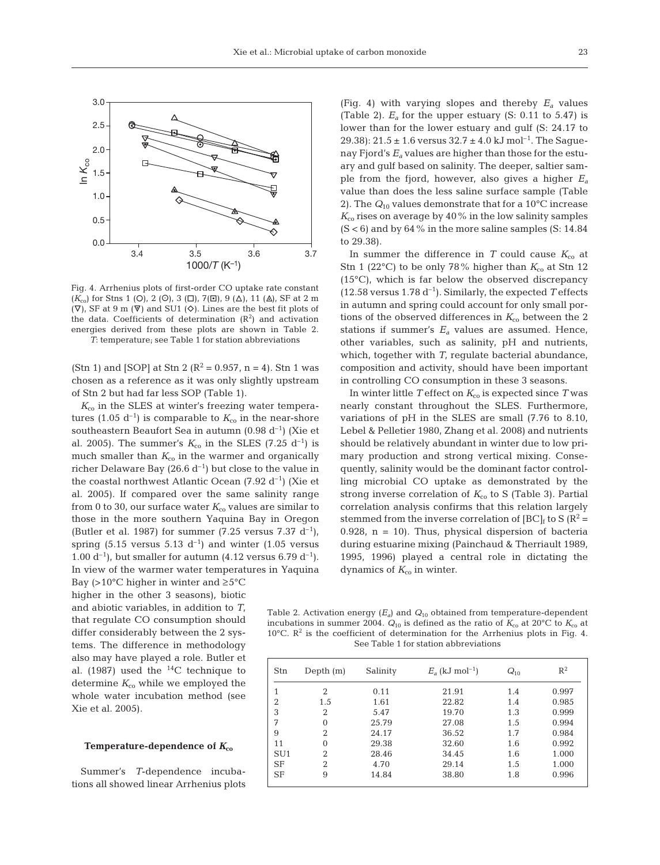

Fig. 4. Arrhenius plots of first-order CO uptake rate constant (*K*<sub>co</sub>) for Stns 1 (O), 2 (O), 3 (□), 7(□), 9 (△), 11 (△), SF at 2 m  $(\nabla)$ , SF at 9 m  $(\nabla)$  and SU1  $(\diamond)$ . Lines are the best fit plots of the data. Coefficients of determination  $(R^2)$  and activation energies derived from these plots are shown in Table 2. *T*: temperature; see Table 1 for station abbreviations

(Stn 1) and [SOP] at Stn 2 ( $R^2 = 0.957$ , n = 4). Stn 1 was chosen as a reference as it was only slightly upstream of Stn 2 but had far less SOP (Table 1).

 $K_{\rm co}$  in the SLES at winter's freezing water temperatures (1.05 d<sup>-1</sup>) is comparable to  $K_{\rm co}$  in the near-shore southeastern Beaufort Sea in autumn  $(0.98 d^{-1})$  (Xie et al. 2005). The summer's  $K_{\rm co}$  in the SLES (7.25 d<sup>-1</sup>) is much smaller than  $K_{\text{co}}$  in the warmer and organically richer Delaware Bay (26.6  $d^{-1}$ ) but close to the value in the coastal northwest Atlantic Ocean  $(7.92 \text{ d}^{-1})$  (Xie et al. 2005). If compared over the same salinity range from 0 to 30, our surface water  $K_{\rm co}$  values are similar to those in the more southern Yaquina Bay in Oregon (Butler et al. 1987) for summer  $(7.25 \text{ versus } 7.37 \text{ d}^{-1})$ , spring (5.15 versus 5.13  $d^{-1}$ ) and winter (1.05 versus 1.00 d<sup>-1</sup>), but smaller for autumn (4.12 versus 6.79 d<sup>-1</sup>). In view of the warmer water temperatures in Yaquina

Bay (>10 $^{\circ}$ C higher in winter and  $\geq 5$  $^{\circ}$ C higher in the other 3 seasons), biotic and abiotic variables, in addition to *T*, that regulate CO consumption should differ considerably between the 2 systems. The difference in methodology also may have played a role. Butler et al. (1987) used the  $^{14}$ C technique to determine  $K_{\rm co}$  while we employed the whole water incubation method (see Xie et al. 2005).

## **Temperature-dependence of** *K***co**

Summer's *T*-dependence incubations all showed linear Arrhenius plots (Fig. 4) with varying slopes and thereby *Ea* values (Table 2).  $E_a$  for the upper estuary (S: 0.11 to 5.47) is lower than for the lower estuary and gulf (S: 24.17 to 29.38):  $21.5 \pm 1.6$  versus  $32.7 \pm 4.0$  kJ mol<sup>-1</sup>. The Saguenay Fjord's *Ea* values are higher than those for the estuary and gulf based on salinity. The deeper, saltier sample from the fjord, however, also gives a higher *Ea* value than does the less saline surface sample (Table 2). The *Q*<sup>10</sup> values demonstrate that for a 10°C increase  $K_{\rm co}$  rises on average by 40% in the low salinity samples  $(S < 6)$  and by  $64\%$  in the more saline samples  $(S: 14.84)$ to 29.38).

In summer the difference in *T* could cause  $K_{\text{co}}$  at Stn 1 (22 $\degree$ C) to be only 78% higher than  $K_{\text{co}}$  at Stn 12 (15°C), which is far below the observed discrepancy (12.58 versus 1.78  $d^{-1}$ ). Similarly, the expected *T* effects in autumn and spring could account for only small portions of the observed differences in  $K_{\rm co}$  between the 2 stations if summer's  $E_a$  values are assumed. Hence, other variables, such as salinity, pH and nutrients, which, together with *T*, regulate bacterial abundance, composition and activity, should have been important in controlling CO consumption in these 3 seasons.

In winter little *T* effect on  $K_{\rm co}$  is expected since *T* was nearly constant throughout the SLES. Furthermore, variations of pH in the SLES are small (7.76 to 8.10, Lebel & Pelletier 1980, Zhang et al. 2008) and nutrients should be relatively abundant in winter due to low primary production and strong vertical mixing. Consequently, salinity would be the dominant factor controlling microbial CO uptake as demonstrated by the strong inverse correlation of  $K_{\rm co}$  to S (Table 3). Partial correlation analysis confirms that this relation largely stemmed from the inverse correlation of  $[BC]_f$  to S  $(R^2 =$ 0.928,  $n = 10$ ). Thus, physical dispersion of bacteria during estuarine mixing (Painchaud & Therriault 1989, 1995, 1996) played a central role in dictating the dynamics of  $K_{\rm co}$  in winter.

Table 2. Activation energy (*Ea*) and *Q*<sup>10</sup> obtained from temperature-dependent incubations in summer 2004.  $Q_{10}$  is defined as the ratio of  $K_{\rm co}$  at 20°C to  $K_{\rm co}$  at 10 $^{\circ}$ C. R<sup>2</sup> is the coefficient of determination for the Arrhenius plots in Fig. 4. See Table 1 for station abbreviations

| Stn             | Depth $(m)$<br>Salinity |       | $E_a$ (kJ mol <sup>-1</sup> ) | $Q_{10}$ | $R^2$ |  |
|-----------------|-------------------------|-------|-------------------------------|----------|-------|--|
|                 | 2                       | 0.11  | 21.91                         | 1.4      | 0.997 |  |
| $\overline{2}$  | 1.5                     | 1.61  | 22.82                         | 1.4      | 0.985 |  |
| 3               | 2                       | 5.47  | 19.70                         | 1.3      | 0.999 |  |
| 7               | 0                       | 25.79 | 27.08                         | 1.5      | 0.994 |  |
| 9               | 2                       | 24.17 | 36.52                         | 1.7      | 0.984 |  |
| 11              | $\theta$                | 29.38 | 32.60                         | 1.6      | 0.992 |  |
| SU <sub>1</sub> | 2                       | 28.46 | 34.45                         | 1.6      | 1.000 |  |
| <b>SF</b>       | 2                       | 4.70  | 29.14                         | 1.5      | 1.000 |  |
| <b>SF</b>       | 9                       | 14.84 | 38.80                         | 1.8      | 0.996 |  |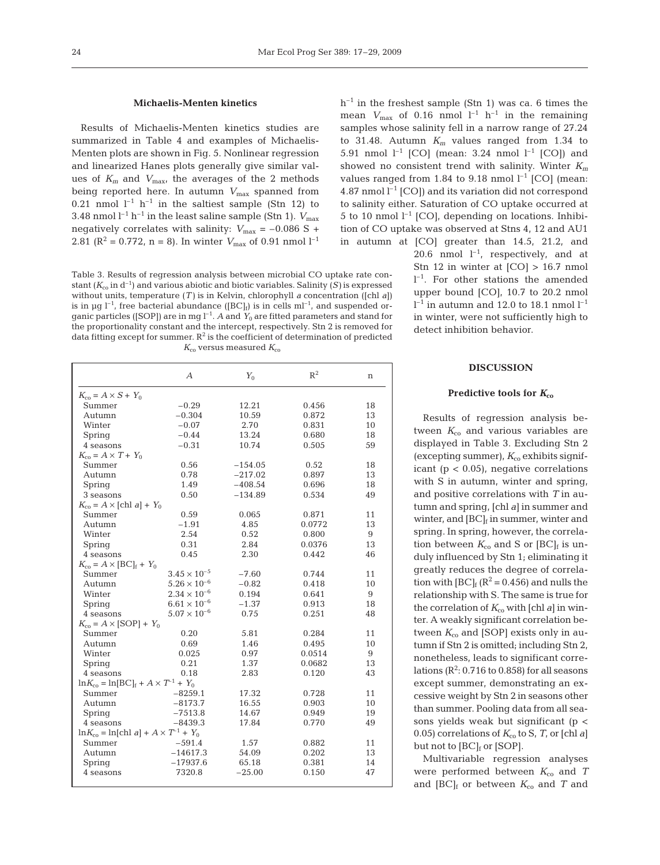## **Michaelis-Menten kinetics**

Results of Michaelis-Menten kinetics studies are summarized in Table 4 and examples of Michaelis-Menten plots are shown in Fig. 5. Nonlinear regression and linearized Hanes plots generally give similar values of  $K_m$  and  $V_{\text{max}}$ , the averages of the 2 methods being reported here. In autumn  $V_{\text{max}}$  spanned from 0.21 nmol  $l^{-1}$  h<sup>-1</sup> in the saltiest sample (Stn 12) to 3.48 nmol  $l^{-1}$  h<sup>-1</sup> in the least saline sample (Stn 1).  $V_{\text{max}}$ negatively correlates with salinity:  $V_{\text{max}} = -0.086 \text{ S} +$ 2.81 ( $\mathbb{R}^2 = 0.772$ , n = 8). In winter  $V_{\text{max}}$  of 0.91 nmol  $l^{-1}$ 

Table 3. Results of regression analysis between microbial CO uptake rate constant  $(K_{\rm co}$  in  $d^{-1}$ ) and various abiotic and biotic variables. Salinity (S) is expressed without units, temperature (*T)* is in Kelvin, chlorophyll *a* concentration ([chl *a*]) is in µg  $l^{-1}$ , free bacterial abundance ([BC]<sub>f</sub>) is in cells ml<sup>-1</sup>, and suspended organic particles ([SOP]) are in mg  $l^{-1}$ . *A* and  $Y_0$  are fitted parameters and stand for the proportionality constant and the intercept, respectively. Stn 2 is removed for data fitting except for summer.  $R^2$  is the coefficient of determination of predicted  $K_{\rm co}$  versus measured  $K_{\rm co}$ 

|                                                                  | $\mathcal{A}$         | $Y_{0}$   | $R^2$  | n  |
|------------------------------------------------------------------|-----------------------|-----------|--------|----|
| $K_{\rm co} = A \times S + Y_0$                                  |                       |           |        |    |
| Summer                                                           | $-0.29$               | 12.21     | 0.456  | 18 |
| Autumn                                                           | $-0.304$              | 10.59     | 0.872  | 13 |
| Winter                                                           | $-0.07$               | 2.70      | 0.831  | 10 |
| Spring                                                           | $-0.44$               | 13.24     | 0.680  | 18 |
| 4 seasons                                                        | $-0.31$               | 10.74     | 0.505  | 59 |
| $K_{\rm co} = A \times T + Y_0$                                  |                       |           |        |    |
| Summer                                                           | 0.56                  | $-154.05$ | 0.52   | 18 |
| Autumn                                                           | 0.78                  | $-217.02$ | 0.897  | 13 |
| Spring                                                           | 1.49                  | $-408.54$ | 0.696  | 18 |
| 3 seasons                                                        | 0.50                  | $-134.89$ | 0.534  | 49 |
| $K_{\rm co} = A \times [\text{chl } a] + Y_0$                    |                       |           |        |    |
| Summer                                                           | 0.59                  | 0.065     | 0.871  | 11 |
| Autumn                                                           | $-1.91$               | 4.85      | 0.0772 | 13 |
| Winter                                                           | 2.54                  | 0.52      | 0.800  | 9  |
| Spring                                                           | 0.31                  | 2.84      | 0.0376 | 13 |
| 4 seasons                                                        | 0.45                  | 2.30      | 0.442  | 46 |
| $K_{\rm co} = A \times [\text{BC}]_{\rm f} + Y_0$                |                       |           |        |    |
| Summer                                                           | $3.45 \times 10^{-5}$ | $-7.60$   | 0.744  | 11 |
| Autumn                                                           | $5.26 \times 10^{-6}$ | $-0.82$   | 0.418  | 10 |
| Winter                                                           | $2.34 \times 10^{-6}$ | 0.194     | 0.641  | 9  |
| Spring                                                           | $6.61\times10^{-6}$   | $-1.37$   | 0.913  | 18 |
| 4 seasons                                                        | $5.07 \times 10^{-6}$ | 0.75      | 0.251  | 48 |
| $K_{\rm co} = A \times [\text{SOP}] + Y_0$                       |                       |           |        |    |
| Summer                                                           | 0.20                  | 5.81      | 0.284  | 11 |
| Autumn                                                           | 0.69                  | 1.46      | 0.495  | 10 |
| Winter                                                           | 0.025                 | 0.97      | 0.0514 | 9  |
| Spring                                                           | 0.21                  | 1.37      | 0.0682 | 13 |
| 4 seasons                                                        | 0.18                  | 2.83      | 0.120  | 43 |
| $\ln K_{\rm co} = \ln[{\rm BC}]_{\rm f} + A \times T^{-1} + Y_0$ |                       |           |        |    |
| Summer                                                           | $-8259.1$             | 17.32     | 0.728  | 11 |
| Autumn                                                           | $-8173.7$             | 16.55     | 0.903  | 10 |
| Spring                                                           | $-7513.8$             | 14.67     | 0.949  | 19 |
| 4 seasons                                                        | $-8439.3$             | 17.84     | 0.770  | 49 |
| $\ln K_{\rm co} = \ln[\text{ch1 } a] + A \times T^{-1} + Y_0$    |                       |           |        |    |
| Summer                                                           | $-591.4$              | 1.57      | 0.882  | 11 |
| Autumn                                                           | $-14617.3$            | 54.09     | 0.202  | 13 |
| Spring                                                           | $-17937.6$            | 65.18     | 0.381  | 14 |
| 4 seasons                                                        | 7320.8                | $-25.00$  | 0.150  | 47 |
|                                                                  |                       |           |        |    |

 $h^{-1}$  in the freshest sample (Stn 1) was ca. 6 times the mean  $V_{\text{max}}$  of 0.16 nmol  $l^{-1}$  h<sup>-1</sup> in the remaining samples whose salinity fell in a narrow range of 27.24 to 31.48. Autumn  $K_m$  values ranged from 1.34 to 5.91 nmol  $l^{-1}$  [CO] (mean: 3.24 nmol  $l^{-1}$  [CO]) and showed no consistent trend with salinity. Winter *Km* values ranged from 1.84 to 9.18 nmol  $l^{-1}$  [CO] (mean: 4.87 nmol  $l^{-1}$  [CO]) and its variation did not correspond to salinity either. Saturation of CO uptake occurred at 5 to 10 nmol  $l^{-1}$  [CO], depending on locations. Inhibition of CO uptake was observed at Stns 4, 12 and AU1 in autumn at [CO] greater than 14.5, 21.2, and

20.6 nmol  $l^{-1}$ , respectively, and at Stn 12 in winter at [CO] > 16.7 nmol  $l^{-1}$ . For other stations the amended upper bound [CO], 10.7 to 20.2 nmol  $l^{-1}$  in autumn and 12.0 to 18.1 nmol  $l^{-1}$ in winter, were not sufficiently high to detect inhibition behavior.

## **DISCUSSION**

## Predictive tools for  $K_{c0}$

Results of regression analysis between  $K_{\rm co}$  and various variables are displayed in Table 3. Excluding Stn 2 (excepting summer),  $K_{\rm co}$  exhibits significant ( $p < 0.05$ ), negative correlations with S in autumn, winter and spring, and positive correlations with *T* in autumn and spring, [chl *a*] in summer and winter, and  $[BC]_f$  in summer, winter and spring. In spring, however, the correlation between  $K_{\rm co}$  and S or  $[{\rm BC}]_f$  is unduly influenced by Stn 1; eliminating it greatly reduces the degree of correlation with  $[BC]_f$  ( $R^2$  = 0.456) and nulls the relationship with S. The same is true for the correlation of  $K_{\rm co}$  with [chl *a*] in winter. A weakly significant correlation between  $K_{\rm co}$  and [SOP] exists only in autumn if Stn 2 is omitted; including Stn 2, nonetheless, leads to significant correlations  $(R^2: 0.716$  to 0.858) for all seasons except summer, demonstrating an excessive weight by Stn 2 in seasons other than summer. Pooling data from all seasons yields weak but significant (p < 0.05) correlations of  $K_{\rm co}$  to S, T, or [chl *a*] but not to [BC]<sub>f</sub> or [SOP].

Multivariable regression analyses were performed between  $K_{\text{co}}$  and *T* and  $[BC]_f$  or between  $K_{co}$  and  $T$  and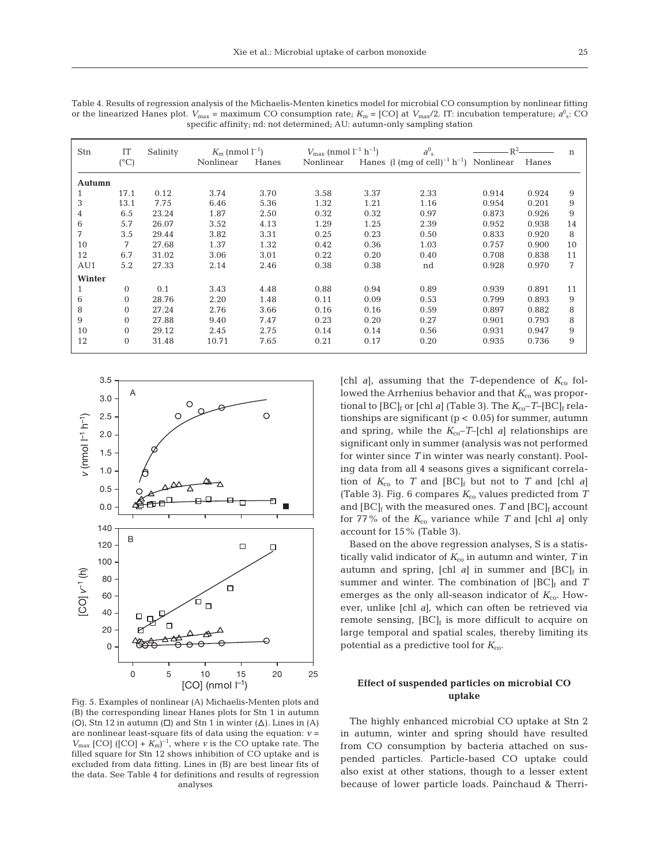| Stn    | IT             | Salinity | $K_m$ (nmol $l^{-1}$ ) |       | $V_{\text{max}}$ (nmol $l^{-1}$ h <sup>-1</sup> ) |      | $a_{\rm s}^{\rm 0}$                                            | $\mathbb{R}^2$ |       | $\mathbf n$ |
|--------|----------------|----------|------------------------|-------|---------------------------------------------------|------|----------------------------------------------------------------|----------------|-------|-------------|
|        | $(^{\circ}C)$  |          | Nonlinear              | Hanes | Nonlinear                                         |      | Hanes $(l \text{ (mg of cell)}^{-1} \text{ h}^{-1})$ Nonlinear |                | Hanes |             |
|        |                |          |                        |       |                                                   |      |                                                                |                |       |             |
| Autumn |                |          |                        |       |                                                   |      |                                                                |                |       |             |
| 1      | 17.1           | 0.12     | 3.74                   | 3.70  | 3.58                                              | 3.37 | 2.33                                                           | 0.914          | 0.924 | 9           |
| 3      | 13.1           | 7.75     | 6.46                   | 5.36  | 1.32                                              | 1.21 | 1.16                                                           | 0.954          | 0.201 | 9           |
| 4      | 6.5            | 23.24    | 1.87                   | 2.50  | 0.32                                              | 0.32 | 0.97                                                           | 0.873          | 0.926 | 9           |
| 6      | 5.7            | 26.07    | 3.52                   | 4.13  | 1.29                                              | 1.25 | 2.39                                                           | 0.952          | 0.938 | 14          |
| 7      | 3.5            | 29.44    | 3.82                   | 3.31  | 0.25                                              | 0.23 | 0.50                                                           | 0.833          | 0.920 | 8           |
| 10     | 7              | 27.68    | 1.37                   | 1.32  | 0.42                                              | 0.36 | 1.03                                                           | 0.757          | 0.900 | 10          |
| 12     | 6.7            | 31.02    | 3.06                   | 3.01  | 0.22                                              | 0.20 | 0.40                                                           | 0.708          | 0.838 | 11          |
| AU1    | 5.2            | 27.33    | 2.14                   | 2.46  | 0.38                                              | 0.38 | nd                                                             | 0.928          | 0.970 | 7           |
| Winter |                |          |                        |       |                                                   |      |                                                                |                |       |             |
| 1      | 0              | 0.1      | 3.43                   | 4.48  | 0.88                                              | 0.94 | 0.89                                                           | 0.939          | 0.891 | 11          |
| 6      | 0              | 28.76    | 2.20                   | 1.48  | 0.11                                              | 0.09 | 0.53                                                           | 0.799          | 0.893 | 9           |
| 8      | $\Omega$       | 27.24    | 2.76                   | 3.66  | 0.16                                              | 0.16 | 0.59                                                           | 0.897          | 0.882 | 8           |
| 9      | $\overline{0}$ | 27.88    | 9.40                   | 7.47  | 0.23                                              | 0.20 | 0.27                                                           | 0.901          | 0.793 | 8           |
| 10     | 0              | 29.12    | 2.45                   | 2.75  | 0.14                                              | 0.14 | 0.56                                                           | 0.931          | 0.947 | 9           |
| 12     | $\overline{0}$ | 31.48    | 10.71                  | 7.65  | 0.21                                              | 0.17 | 0.20                                                           | 0.935          | 0.736 | 9           |
|        |                |          |                        |       |                                                   |      |                                                                |                |       |             |

Table 4. Results of regression analysis of the Michaelis-Menten kinetics model for microbial CO consumption by nonlinear fitting or the linearized Hanes plot.  $V_{\text{max}}$  = maximum CO consumption rate;  $K_m$  = [CO] at  $V_{\text{max}}/2$ . IT: incubation temperature;  $a^0$  ; CO specific affinity; nd: not determined; AU: autumn-only sampling station



Fig. 5. Examples of nonlinear (A) Michaelis-Menten plots and (B) the corresponding linear Hanes plots for Stn 1 in autumn (O), Stn 12 in autumn ( $\square$ ) and Stn 1 in winter ( $\triangle$ ). Lines in (A) are nonlinear least-square fits of data using the equation: *v* =  $V_{\text{max}}$  [CO] ([CO] +  $K_{\text{m}}$ <sup> $-1$ </sup>, where *v* is the CO uptake rate. The filled square for Stn 12 shows inhibition of CO uptake and is excluded from data fitting. Lines in (B) are best linear fits of the data. See Table 4 for definitions and results of regression analyses

[chl *a*], assuming that the *T*-dependence of  $K_{\rm co}$  followed the Arrhenius behavior and that  $K_{\rm co}$  was proportional to  $[BC]_f$  or  $[Chl a]$  (Table 3). The  $K_{co}$ -T- $[BC]_f$  relationships are significant ( $p < 0.05$ ) for summer, autumn and spring, while the  $K_{\rm co}$ -*T*-[chl *a*] relationships are significant only in summer (analysis was not performed for winter since *T* in winter was nearly constant). Pooling data from all 4 seasons gives a significant correlation of  $K_{\rm co}$  to *T* and  $[BC]_f$  but not to *T* and  $[Chl a]$ (Table 3). Fig. 6 compares  $K_{\rm co}$  values predicted from  $T$ and  $[BC]_f$  with the measured ones. *T* and  $[BC]_f$  account for 77% of the  $K_{\rm co}$  variance while T and [chl *a*] only account for 15% (Table 3).

Based on the above regression analyses, S is a statistically valid indicator of  $K_{\rm co}$  in autumn and winter,  $T$  in autumn and spring, [chl  $a$ ] in summer and  $[BC]_f$  in summer and winter. The combination of  $[BC]_f$  and *T* emerges as the only all-season indicator of  $K_{\text{co}}$ . However, unlike [chl *a*], which can often be retrieved via remote sensing,  $[BC]_f$  is more difficult to acquire on large temporal and spatial scales, thereby limiting its potential as a predictive tool for  $K_{\rm co}$ .

# **Effect of suspended particles on microbial CO uptake**

The highly enhanced microbial CO uptake at Stn 2 in autumn, winter and spring should have resulted from CO consumption by bacteria attached on suspended particles. Particle-based CO uptake could also exist at other stations, though to a lesser extent because of lower particle loads. Painchaud & Therri-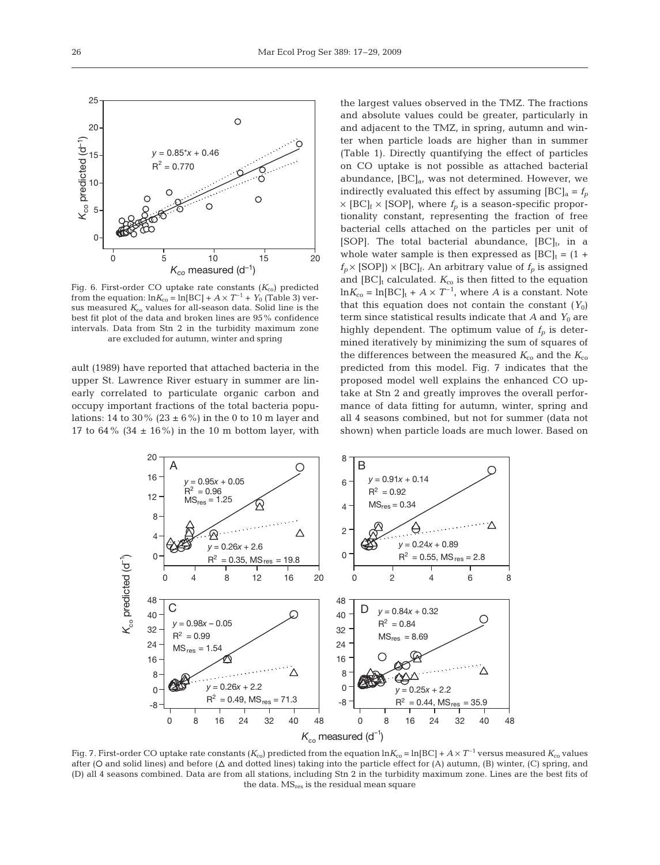

ault (1989) have reported that attached bacteria in the upper St. Lawrence River estuary in summer are linearly correlated to particulate organic carbon and occupy important fractions of the total bacteria populations: 14 to 30% (23  $\pm$  6%) in the 0 to 10 m layer and 17 to 64% (34  $\pm$  16%) in the 10 m bottom layer, with the largest values observed in the TMZ. The fractions and absolute values could be greater, particularly in and adjacent to the TMZ, in spring, autumn and winter when particle loads are higher than in summer (Table 1). Directly quantifying the effect of particles on CO uptake is not possible as attached bacterial abundance,  $[BC]_a$ , was not determined. However, we indirectly evaluated this effect by assuming  $[BC]_a = f_p$  $\times$  [BC]<sub>f</sub>  $\times$  [SOP], where  $f_p$  is a season-specific proportionality constant, representing the fraction of free bacterial cells attached on the particles per unit of [SOP]. The total bacterial abundance,  $[BC]_t$ , in a whole water sample is then expressed as  $[BC]_t = (1 +$  $f_p \times$  [SOP])  $\times$  [BC]<sub>f</sub>. An arbitrary value of  $f_p$  is assigned and  $[BC]_t$  calculated.  $K_{co}$  is then fitted to the equation  $\ln K_{\rm co} = \ln[{\rm BC}]_{\rm t} + A \times T^{-1}$ , where *A* is a constant. Note that this equation does not contain the constant  $(Y_0)$ term since statistical results indicate that  $A$  and  $Y_0$  are highly dependent. The optimum value of  $f_p$  is determined iteratively by minimizing the sum of squares of the differences between the measured  $K_{\rm co}$  and the  $K_{\rm co}$ predicted from this model. Fig. 7 indicates that the proposed model well explains the enhanced CO uptake at Stn 2 and greatly improves the overall performance of data fitting for autumn, winter, spring and all 4 seasons combined, but not for summer (data not shown) when particle loads are much lower. Based on



Fig. 7. First-order CO uptake rate constants  $(K_{\rm co})$  predicted from the equation  $\ln K_{\rm co} = \ln[BC] + A \times T^{-1}$  versus measured  $K_{\rm co}$  values after (O and solid lines) and before ( $\Delta$  and dotted lines) taking into the particle effect for (A) autumn, (B) winter, (C) spring, and (D) all 4 seasons combined. Data are from all stations, including Stn 2 in the turbidity maximum zone. Lines are the best fits of the data. MS<sub>res</sub> is the residual mean square

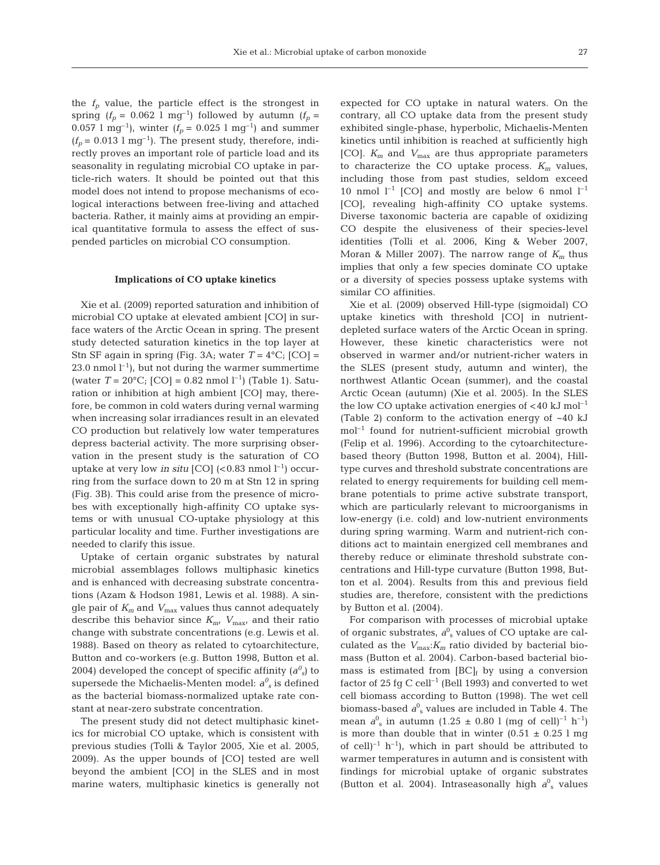the  $f_p$  value, the particle effect is the strongest in spring  $(f_p = 0.062 \text{ l m}^{-1})$  followed by autumn  $(f_p =$ 0.057 l mg<sup>-1</sup>), winter ( $f_p = 0.025$  l mg<sup>-1</sup>) and summer  $(f_p = 0.013$  l mg<sup>-1</sup>). The present study, therefore, indirectly proves an important role of particle load and its seasonality in regulating microbial CO uptake in particle-rich waters. It should be pointed out that this model does not intend to propose mechanisms of ecological interactions between free-living and attached bacteria. Rather, it mainly aims at providing an empirical quantitative formula to assess the effect of suspended particles on microbial CO consumption.

## **Implications of CO uptake kinetics**

Xie et al. (2009) reported saturation and inhibition of microbial CO uptake at elevated ambient [CO] in surface waters of the Arctic Ocean in spring. The present study detected saturation kinetics in the top layer at Stn SF again in spring (Fig. 3A; water  $T = 4^{\circ}C$ ; [CO] = 23.0 nmol  $l^{-1}$ ), but not during the warmer summertime (water  $T = 20$ °C; [CO] = 0.82 nmol l<sup>-1</sup>) (Table 1). Saturation or inhibition at high ambient [CO] may, therefore, be common in cold waters during vernal warming when increasing solar irradiances result in an elevated CO production but relatively low water temperatures depress bacterial activity. The more surprising observation in the present study is the saturation of CO uptake at very low *in situ* [CO]  $(< 0.83$  nmol  $l^{-1}$ ) occurring from the surface down to 20 m at Stn 12 in spring (Fig. 3B). This could arise from the presence of microbes with exceptionally high-affinity CO uptake systems or with unusual CO-uptake physiology at this particular locality and time. Further investigations are needed to clarify this issue.

Uptake of certain organic substrates by natural microbial assemblages follows multiphasic kinetics and is enhanced with decreasing substrate concentrations (Azam & Hodson 1981, Lewis et al. 1988). A single pair of *Km* and *V*max values thus cannot adequately describe this behavior since  $K_{m}$ ,  $V_{\text{max}}$ , and their ratio change with substrate concentrations (e.g. Lewis et al. 1988). Based on theory as related to cytoarchitecture, Button and co-workers (e.g. Button 1998, Button et al. 2004) developed the concept of specific affinity  $(a^0\mathbf{I}_s)$  to supersede the Michaelis-Menten model:  $a_{s}^{\theta}$  is defined as the bacterial biomass-normalized uptake rate constant at near-zero substrate concentration.

The present study did not detect multiphasic kinetics for microbial CO uptake, which is consistent with previous studies (Tolli & Taylor 2005, Xie et al. 2005, 2009). As the upper bounds of [CO] tested are well beyond the ambient [CO] in the SLES and in most marine waters, multiphasic kinetics is generally not expected for CO uptake in natural waters. On the contrary, all CO uptake data from the present study exhibited single-phase, hyperbolic, Michaelis-Menten kinetics until inhibition is reached at sufficiently high [CO]. *Km* and *V*max are thus appropriate parameters to characterize the CO uptake process.  $K_m$  values, including those from past studies, seldom exceed 10 nmol  $l^{-1}$  [CO] and mostly are below 6 nmol  $l^{-1}$ [CO], revealing high-affinity CO uptake systems. Diverse taxonomic bacteria are capable of oxidizing CO despite the elusiveness of their species-level identities (Tolli et al. 2006, King & Weber 2007, Moran & Miller 2007). The narrow range of  $K_m$  thus implies that only a few species dominate CO uptake or a diversity of species possess uptake systems with similar CO affinities.

Xie et al. (2009) observed Hill-type (sigmoidal) CO uptake kinetics with threshold [CO] in nutrientdepleted surface waters of the Arctic Ocean in spring. However, these kinetic characteristics were not observed in warmer and/or nutrient-richer waters in the SLES (present study, autumn and winter), the northwest Atlantic Ocean (summer), and the coastal Arctic Ocean (autumn) (Xie et al. 2005). In the SLES the low CO uptake activation energies of  $<$ 40 kJ mol<sup>-1</sup> (Table 2) conform to the activation energy of ~40 kJ mol–1 found for nutrient-sufficient microbial growth (Felip et al. 1996). According to the cytoarchitecturebased theory (Button 1998, Button et al. 2004), Hilltype curves and threshold substrate concentrations are related to energy requirements for building cell membrane potentials to prime active substrate transport, which are particularly relevant to microorganisms in low-energy (i.e. cold) and low-nutrient environments during spring warming. Warm and nutrient-rich conditions act to maintain energized cell membranes and thereby reduce or eliminate threshold substrate concentrations and Hill-type curvature (Button 1998, Button et al. 2004). Results from this and previous field studies are, therefore, consistent with the predictions by Button et al. (2004).

For comparison with processes of microbial uptake of organic substrates,  $a_{\rm s}^0$  values of CO uptake are calculated as the  $V_{\text{max}}$ : $K_m$  ratio divided by bacterial biomass (Button et al. 2004). Carbon-based bacterial biomass is estimated from  $[BC]_f$  by using a conversion factor of 25 fg C cell<sup>-1</sup> (Bell 1993) and converted to wet cell biomass according to Button (1998). The wet cell biomass-based  $a^0$ <sub>s</sub> values are included in Table 4. The mean  $a_{s}^{0}$  in autumn (1.25  $\pm$  0.80 l (mg of cell)<sup>-1</sup> h<sup>-1</sup>) is more than double that in winter  $(0.51 \pm 0.25 \text{ l mg})$ of cell<sup> $-1$ </sup> h<sup>-1</sup>), which in part should be attributed to warmer temperatures in autumn and is consistent with findings for microbial uptake of organic substrates (Button et al. 2004). Intraseasonally high  $a<sup>0</sup>$ <sub>s</sub> values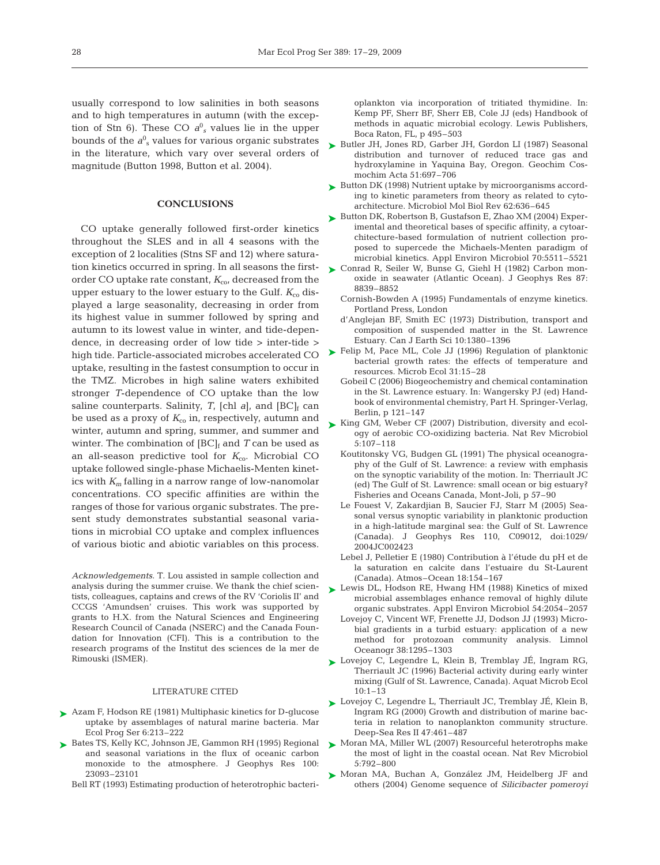usually correspond to low salinities in both seasons and to high temperatures in autumn (with the exception of Stn 6). These CO  $a_{s}^{0}$  values lie in the upper bounds of the  $a_{\rm s}^0$  values for various organic substrates in the literature, which vary over several orders of magnitude (Button 1998, Button et al. 2004).

## **CONCLUSIONS**

CO uptake generally followed first-order kinetics throughout the SLES and in all 4 seasons with the exception of 2 localities (Stns SF and 12) where saturation kinetics occurred in spring. In all seasons the firstorder CO uptake rate constant,  $K_{\text{co}}$ , decreased from the upper estuary to the lower estuary to the Gulf.  $K_{\text{co}}$  displayed a large seasonality, decreasing in order from its highest value in summer followed by spring and autumn to its lowest value in winter, and tide-dependence, in decreasing order of low tide > inter-tide > high tide. Particle-associated microbes accelerated CO uptake, resulting in the fastest consumption to occur in the TMZ. Microbes in high saline waters exhibited stronger *T*-dependence of CO uptake than the low saline counterparts. Salinity, *T*, [chl *a*], and [BC]<sub>f</sub> can be used as a proxy of  $K_{\rm co}$  in, respectively, autumn and winter, autumn and spring, summer, and summer and winter. The combination of  $[BC]_f$  and *T* can be used as an all-season predictive tool for  $K_{\text{co}}$ . Microbial CO uptake followed single-phase Michaelis-Menten kinetics with *Km* falling in a narrow range of low-nanomolar concentrations. CO specific affinities are within the ranges of those for various organic substrates. The present study demonstrates substantial seasonal variations in microbial CO uptake and complex influences of various biotic and abiotic variables on this process.

*Acknowledgements.* T. Lou assisted in sample collection and analysis during the summer cruise. We thank the chief scientists, colleagues, captains and crews of the RV 'Coriolis II' and CCGS 'Amundsen' cruises. This work was supported by grants to H.X. from the Natural Sciences and Engineering Research Council of Canada (NSERC) and the Canada Foundation for Innovation (CFI). This is a contribution to the research programs of the Institut des sciences de la mer de Rimouski (ISMER).

#### LITERATURE CITED

- ▶ Azam F, Hodson RE (1981) Multiphasic kinetics for D-glucose uptake by assemblages of natural marine bacteria. Mar Ecol Prog Ser 6:213–222
- ▶ Bates TS, Kelly KC, Johnson JE, Gammon RH (1995) Regional and seasonal variations in the flux of oceanic carbon monoxide to the atmosphere. J Geophys Res 100: 23093–23101
	- Bell RT (1993) Estimating production of heterotrophic bacteri-

oplankton via incorporation of tritiated thymidine. In: Kemp PF, Sherr BF, Sherr EB, Cole JJ (eds) Handbook of methods in aquatic microbial ecology. Lewis Publishers, Boca Raton, FL, p 495–503

- ► Butler JH, Jones RD, Garber JH, Gordon LI (1987) Seasonal distribution and turnover of reduced trace gas and hydroxylamine in Yaquina Bay, Oregon. Geochim Cosmochim Acta 51:697–706
- ► Button DK (1998) Nutrient uptake by microorganisms according to kinetic parameters from theory as related to cytoarchitecture. Microbiol Mol Biol Rev 62:636–645
- ► Button DK, Robertson B, Gustafson E, Zhao XM (2004) Experimental and theoretical bases of specific affinity, a cytoarchitecture-based formulation of nutrient collection proposed to supercede the Michaels-Menten paradigm of microbial kinetics. Appl Environ Microbiol 70:5511–5521
- ► Conrad R, Seiler W, Bunse G, Giehl H (1982) Carbon monoxide in seawater (Atlantic Ocean). J Geophys Res 87: 8839–8852
	- Cornish-Bowden A (1995) Fundamentals of enzyme kinetics. Portland Press, London
	- d'Anglejan BF, Smith EC (1973) Distribution, transport and composition of suspended matter in the St. Lawrence Estuary. Can J Earth Sci 10:1380–1396
- ► Felip M, Pace ML, Cole JJ (1996) Regulation of planktonic bacterial growth rates: the effects of temperature and resources. Microb Ecol 31:15–28
	- Gobeil C (2006) Biogeochemistry and chemical contamination in the St. Lawrence estuary. In: Wangersky PJ (ed) Handbook of environmental chemistry, Part H. Springer-Verlag, Berlin, p 121–147
- ► King GM, Weber CF (2007) Distribution, diversity and ecology of aerobic CO-oxidizing bacteria. Nat Rev Microbiol 5:107–118
	- Koutitonsky VG, Budgen GL (1991) The physical oceanography of the Gulf of St. Lawrence: a review with emphasis on the synoptic variability of the motion. In: Therriault JC (ed) The Gulf of St. Lawrence: small ocean or big estuary? Fisheries and Oceans Canada, Mont-Joli, p 57–90
	- Le Fouest V, Zakardjian B, Saucier FJ, Starr M (2005) Seasonal versus synoptic variability in planktonic production in a high-latitude marginal sea: the Gulf of St. Lawrence (Canada). J Geophys Res 110, C09012, doi:1029/ 2004JC002423
	- Lebel J, Pelletier E (1980) Contribution à l'étude du pH et de la saturation en calcite dans l'estuaire du St-Laurent (Canada). Atmos–Ocean 18:154–167
- ► Lewis DL, Hodson RE, Hwang HM (1988) Kinetics of mixed microbial assemblages enhance removal of highly dilute organic substrates. Appl Environ Microbiol 54:2054–2057
	- Lovejoy C, Vincent WF, Frenette JJ, Dodson JJ (1993) Microbial gradients in a turbid estuary: application of a new method for protozoan community analysis. Limnol Oceanogr 38:1295–1303
- ► Lovejoy C, Legendre L, Klein B, Tremblay JE, Ingram RG, Therriault JC (1996) Bacterial activity during early winter mixing (Gulf of St. Lawrence, Canada). Aquat Microb Ecol 10:1–13
- ► Lovejoy C, Legendre L, Therriault JC, Tremblay JE, Klein B, Ingram RG (2000) Growth and distribution of marine bacteria in relation to nanoplankton community structure. Deep-Sea Res II 47:461–487
- ▶ Moran MA, Miller WL (2007) Resourceful heterotrophs make the most of light in the coastal ocean. Nat Rev Microbiol 5:792–800
- ▶ Moran MA, Buchan A, González JM, Heidelberg JF and others (2004) Genome sequence of *Silicibacter pomeroyi*